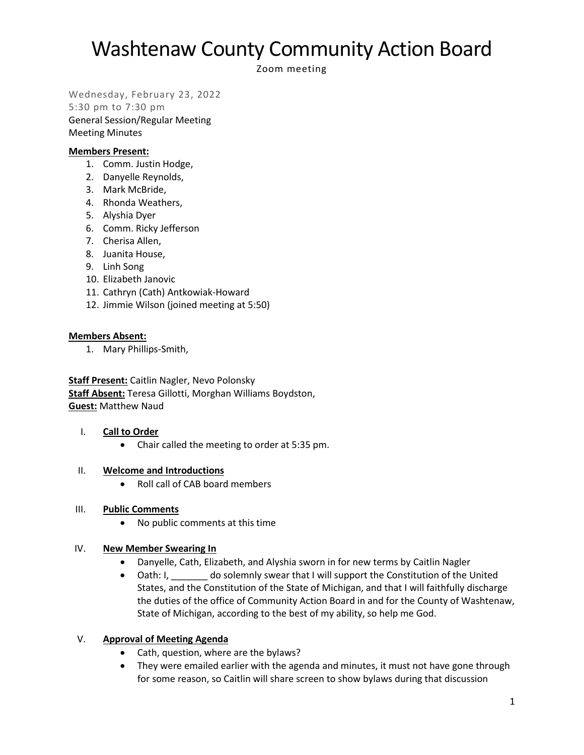Zoom meeting

Wednesday, February 23, 2022

5:30 pm to 7:30 pm General Session/Regular Meeting Meeting Minutes

### **Members Present:**

- 1. Comm. Justin Hodge,
- 2. Danyelle Reynolds,
- 3. Mark McBride,
- 4. Rhonda Weathers,
- 5. Alyshia Dyer
- 6. Comm. Ricky Jefferson
- 7. Cherisa Allen,
- 8. Juanita House,
- 9. Linh Song
- 10. Elizabeth Janovic
- 11. Cathryn (Cath) Antkowiak-Howard
- 12. Jimmie Wilson (joined meeting at 5:50)

### **Members Absent:**

1. Mary Phillips-Smith,

**Staff Present:** Caitlin Nagler, Nevo Polonsky **Staff Absent:** Teresa Gillotti, Morghan Williams Boydston, **Guest:** Matthew Naud

### I. **Call to Order**

• Chair called the meeting to order at 5:35 pm.

### II. **Welcome and Introductions**

• Roll call of CAB board members

### III. **Public Comments**

• No public comments at this time

### IV. **New Member Swearing In**

- Danyelle, Cath, Elizabeth, and Alyshia sworn in for new terms by Caitlin Nagler
- Oath: I, do solemnly swear that I will support the Constitution of the United States, and the Constitution of the State of Michigan, and that I will faithfully discharge the duties of the office of Community Action Board in and for the County of Washtenaw, State of Michigan, according to the best of my ability, so help me God.

## V. **Approval of Meeting Agenda**

- Cath, question, where are the bylaws?
- They were emailed earlier with the agenda and minutes, it must not have gone through for some reason, so Caitlin will share screen to show bylaws during that discussion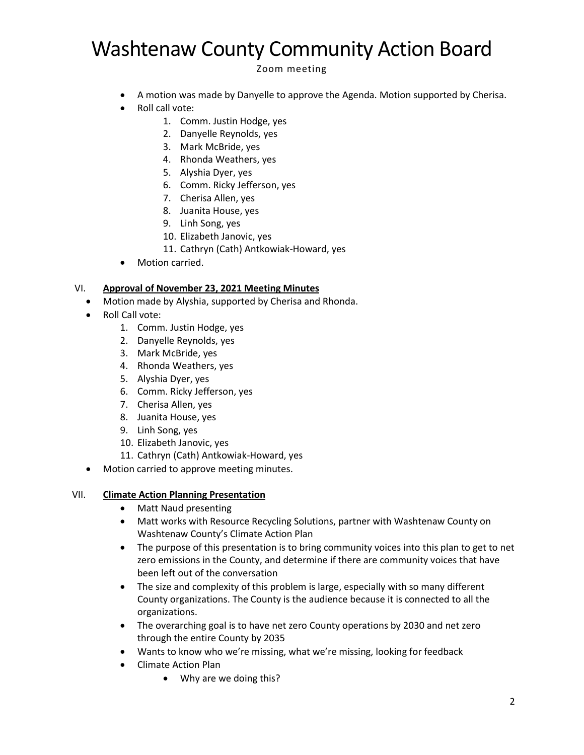Zoom meeting

- A motion was made by Danyelle to approve the Agenda. Motion supported by Cherisa.
- Roll call vote:
	- 1. Comm. Justin Hodge, yes
	- 2. Danyelle Reynolds, yes
	- 3. Mark McBride, yes
	- 4. Rhonda Weathers, yes
	- 5. Alyshia Dyer, yes
	- 6. Comm. Ricky Jefferson, yes
	- 7. Cherisa Allen, yes
	- 8. Juanita House, yes
	- 9. Linh Song, yes
	- 10. Elizabeth Janovic, yes
	- 11. Cathryn (Cath) Antkowiak-Howard, yes
- Motion carried.

### VI. **Approval of November 23, 2021 Meeting Minutes**

- Motion made by Alyshia, supported by Cherisa and Rhonda.
- Roll Call vote:
	- 1. Comm. Justin Hodge, yes
	- 2. Danyelle Reynolds, yes
	- 3. Mark McBride, yes
	- 4. Rhonda Weathers, yes
	- 5. Alyshia Dyer, yes
	- 6. Comm. Ricky Jefferson, yes
	- 7. Cherisa Allen, yes
	- 8. Juanita House, yes
	- 9. Linh Song, yes
	- 10. Elizabeth Janovic, yes
	- 11. Cathryn (Cath) Antkowiak-Howard, yes
- Motion carried to approve meeting minutes.

### VII. **Climate Action Planning Presentation**

- Matt Naud presenting
- Matt works with Resource Recycling Solutions, partner with Washtenaw County on Washtenaw County's Climate Action Plan
- The purpose of this presentation is to bring community voices into this plan to get to net zero emissions in the County, and determine if there are community voices that have been left out of the conversation
- The size and complexity of this problem is large, especially with so many different County organizations. The County is the audience because it is connected to all the organizations.
- The overarching goal is to have net zero County operations by 2030 and net zero through the entire County by 2035
- Wants to know who we're missing, what we're missing, looking for feedback
- Climate Action Plan
	- Why are we doing this?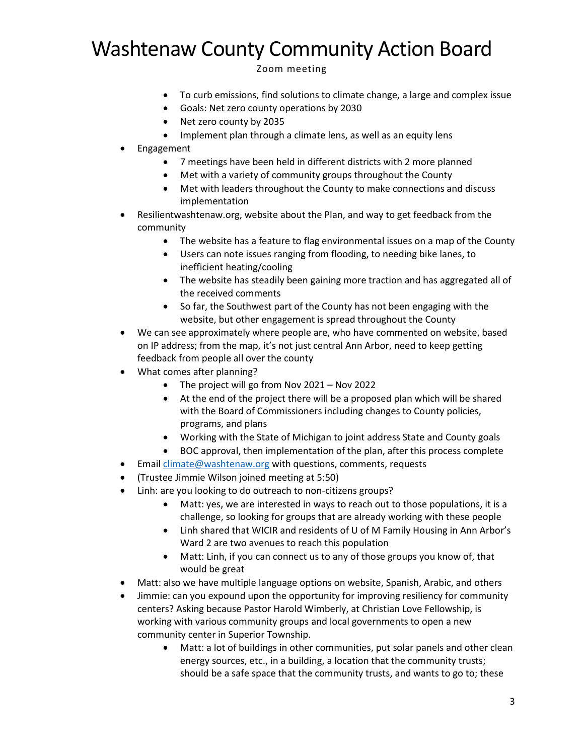Zoom meeting

- To curb emissions, find solutions to climate change, a large and complex issue
- Goals: Net zero county operations by 2030
- Net zero county by 2035
- Implement plan through a climate lens, as well as an equity lens
- Engagement
	- 7 meetings have been held in different districts with 2 more planned
	- Met with a variety of community groups throughout the County
	- Met with leaders throughout the County to make connections and discuss implementation
- Resilientwashtenaw.org, website about the Plan, and way to get feedback from the community
	- The website has a feature to flag environmental issues on a map of the County
	- Users can note issues ranging from flooding, to needing bike lanes, to inefficient heating/cooling
	- The website has steadily been gaining more traction and has aggregated all of the received comments
	- So far, the Southwest part of the County has not been engaging with the website, but other engagement is spread throughout the County
- We can see approximately where people are, who have commented on website, based on IP address; from the map, it's not just central Ann Arbor, need to keep getting feedback from people all over the county
- What comes after planning?
	- The project will go from Nov 2021 Nov 2022
	- At the end of the project there will be a proposed plan which will be shared with the Board of Commissioners including changes to County policies, programs, and plans
	- Working with the State of Michigan to joint address State and County goals
	- BOC approval, then implementation of the plan, after this process complete
- Email [climate@washtenaw.org](mailto:climate@washtenaw.org) with questions, comments, requests
- (Trustee Jimmie Wilson joined meeting at 5:50)
- Linh: are you looking to do outreach to non-citizens groups?
	- Matt: yes, we are interested in ways to reach out to those populations, it is a challenge, so looking for groups that are already working with these people
	- Linh shared that WICIR and residents of U of M Family Housing in Ann Arbor's Ward 2 are two avenues to reach this population
	- Matt: Linh, if you can connect us to any of those groups you know of, that would be great
- Matt: also we have multiple language options on website, Spanish, Arabic, and others
- Jimmie: can you expound upon the opportunity for improving resiliency for community centers? Asking because Pastor Harold Wimberly, at Christian Love Fellowship, is working with various community groups and local governments to open a new community center in Superior Township.
	- Matt: a lot of buildings in other communities, put solar panels and other clean energy sources, etc., in a building, a location that the community trusts; should be a safe space that the community trusts, and wants to go to; these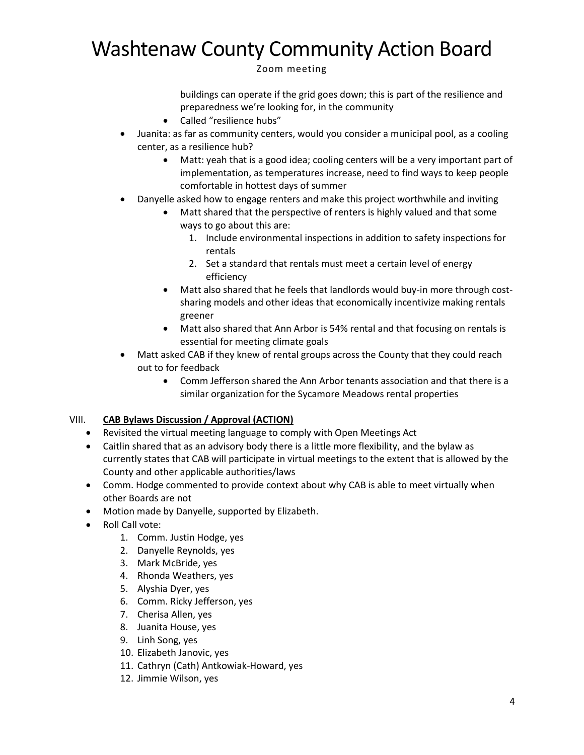Zoom meeting

buildings can operate if the grid goes down; this is part of the resilience and preparedness we're looking for, in the community

- Called "resilience hubs"
- Juanita: as far as community centers, would you consider a municipal pool, as a cooling center, as a resilience hub?
	- Matt: yeah that is a good idea; cooling centers will be a very important part of implementation, as temperatures increase, need to find ways to keep people comfortable in hottest days of summer
- Danyelle asked how to engage renters and make this project worthwhile and inviting
	- Matt shared that the perspective of renters is highly valued and that some ways to go about this are:
		- 1. Include environmental inspections in addition to safety inspections for rentals
		- 2. Set a standard that rentals must meet a certain level of energy efficiency
	- Matt also shared that he feels that landlords would buy-in more through costsharing models and other ideas that economically incentivize making rentals greener
	- Matt also shared that Ann Arbor is 54% rental and that focusing on rentals is essential for meeting climate goals
- Matt asked CAB if they knew of rental groups across the County that they could reach out to for feedback
	- Comm Jefferson shared the Ann Arbor tenants association and that there is a similar organization for the Sycamore Meadows rental properties

## VIII. **CAB Bylaws Discussion / Approval (ACTION)**

- Revisited the virtual meeting language to comply with Open Meetings Act
- Caitlin shared that as an advisory body there is a little more flexibility, and the bylaw as currently states that CAB will participate in virtual meetings to the extent that is allowed by the County and other applicable authorities/laws
- Comm. Hodge commented to provide context about why CAB is able to meet virtually when other Boards are not
- Motion made by Danyelle, supported by Elizabeth.
- Roll Call vote:
	- 1. Comm. Justin Hodge, yes
	- 2. Danyelle Reynolds, yes
	- 3. Mark McBride, yes
	- 4. Rhonda Weathers, yes
	- 5. Alyshia Dyer, yes
	- 6. Comm. Ricky Jefferson, yes
	- 7. Cherisa Allen, yes
	- 8. Juanita House, yes
	- 9. Linh Song, yes
	- 10. Elizabeth Janovic, yes
	- 11. Cathryn (Cath) Antkowiak-Howard, yes
	- 12. Jimmie Wilson, yes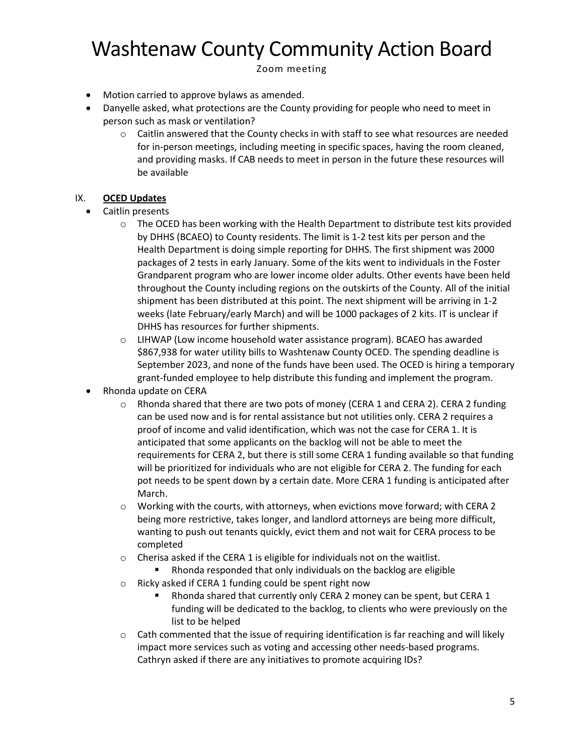Zoom meeting

- Motion carried to approve bylaws as amended.
- Danyelle asked, what protections are the County providing for people who need to meet in person such as mask or ventilation?
	- $\circ$  Caitlin answered that the County checks in with staff to see what resources are needed for in-person meetings, including meeting in specific spaces, having the room cleaned, and providing masks. If CAB needs to meet in person in the future these resources will be available

## IX. **OCED Updates**

- Caitlin presents
	- $\circ$  The OCED has been working with the Health Department to distribute test kits provided by DHHS (BCAEO) to County residents. The limit is 1-2 test kits per person and the Health Department is doing simple reporting for DHHS. The first shipment was 2000 packages of 2 tests in early January. Some of the kits went to individuals in the Foster Grandparent program who are lower income older adults. Other events have been held throughout the County including regions on the outskirts of the County. All of the initial shipment has been distributed at this point. The next shipment will be arriving in 1-2 weeks (late February/early March) and will be 1000 packages of 2 kits. IT is unclear if DHHS has resources for further shipments.
	- o LIHWAP (Low income household water assistance program). BCAEO has awarded \$867,938 for water utility bills to Washtenaw County OCED. The spending deadline is September 2023, and none of the funds have been used. The OCED is hiring a temporary grant-funded employee to help distribute this funding and implement the program.
- Rhonda update on CERA
	- $\circ$  Rhonda shared that there are two pots of money (CERA 1 and CERA 2). CERA 2 funding can be used now and is for rental assistance but not utilities only. CERA 2 requires a proof of income and valid identification, which was not the case for CERA 1. It is anticipated that some applicants on the backlog will not be able to meet the requirements for CERA 2, but there is still some CERA 1 funding available so that funding will be prioritized for individuals who are not eligible for CERA 2. The funding for each pot needs to be spent down by a certain date. More CERA 1 funding is anticipated after March.
	- o Working with the courts, with attorneys, when evictions move forward; with CERA 2 being more restrictive, takes longer, and landlord attorneys are being more difficult, wanting to push out tenants quickly, evict them and not wait for CERA process to be completed
	- $\circ$  Cherisa asked if the CERA 1 is eligible for individuals not on the waitlist.
		- Rhonda responded that only individuals on the backlog are eligible
	- o Ricky asked if CERA 1 funding could be spent right now
		- Rhonda shared that currently only CERA 2 money can be spent, but CERA 1 funding will be dedicated to the backlog, to clients who were previously on the list to be helped
	- $\circ$  Cath commented that the issue of requiring identification is far reaching and will likely impact more services such as voting and accessing other needs-based programs. Cathryn asked if there are any initiatives to promote acquiring IDs?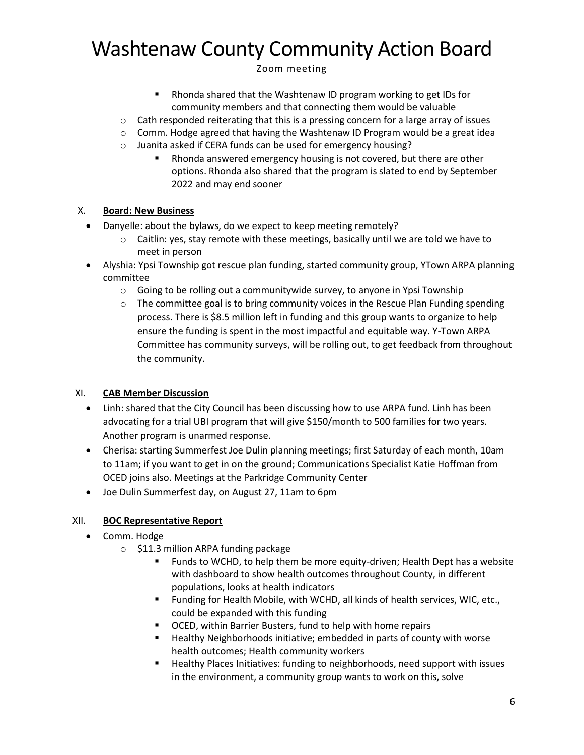Zoom meeting

- Rhonda shared that the Washtenaw ID program working to get IDs for community members and that connecting them would be valuable
- $\circ$  Cath responded reiterating that this is a pressing concern for a large array of issues
- $\circ$  Comm. Hodge agreed that having the Washtenaw ID Program would be a great idea
- o Juanita asked if CERA funds can be used for emergency housing?
	- Rhonda answered emergency housing is not covered, but there are other options. Rhonda also shared that the program is slated to end by September 2022 and may end sooner

## X. **Board: New Business**

- Danyelle: about the bylaws, do we expect to keep meeting remotely?
	- $\circ$  Caitlin: yes, stay remote with these meetings, basically until we are told we have to meet in person
- Alyshia: Ypsi Township got rescue plan funding, started community group, YTown ARPA planning committee
	- $\circ$  Going to be rolling out a communitywide survey, to anyone in Ypsi Township
	- $\circ$  The committee goal is to bring community voices in the Rescue Plan Funding spending process. There is \$8.5 million left in funding and this group wants to organize to help ensure the funding is spent in the most impactful and equitable way. Y-Town ARPA Committee has community surveys, will be rolling out, to get feedback from throughout the community.

## XI. **CAB Member Discussion**

- Linh: shared that the City Council has been discussing how to use ARPA fund. Linh has been advocating for a trial UBI program that will give \$150/month to 500 families for two years. Another program is unarmed response.
- Cherisa: starting Summerfest Joe Dulin planning meetings; first Saturday of each month, 10am to 11am; if you want to get in on the ground; Communications Specialist Katie Hoffman from OCED joins also. Meetings at the Parkridge Community Center
- Joe Dulin Summerfest day, on August 27, 11am to 6pm

## XII. **BOC Representative Report**

- Comm. Hodge
	- $\circ$  \$11.3 million ARPA funding package
		- Funds to WCHD, to help them be more equity-driven; Health Dept has a website with dashboard to show health outcomes throughout County, in different populations, looks at health indicators
		- Funding for Health Mobile, with WCHD, all kinds of health services, WIC, etc., could be expanded with this funding
		- OCED, within Barrier Busters, fund to help with home repairs
		- Healthy Neighborhoods initiative; embedded in parts of county with worse health outcomes; Health community workers
		- Healthy Places Initiatives: funding to neighborhoods, need support with issues in the environment, a community group wants to work on this, solve